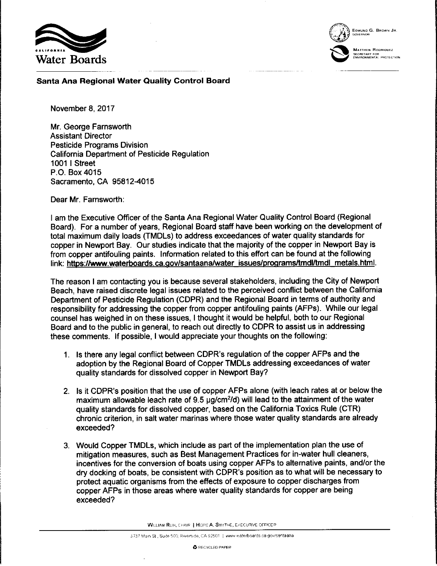



EOMUNO G. BROWN JR GOVERNOR

WATTHEW RODRIQUEZ

**Santa Ana Regional Water Quality Control Board** 

November 8, 2017

Mr. George Farnsworth Assistant Director Pesticide Programs Division California Department of Pesticide Regulation 1001 I Street P.O. Box 4015 Sacramento, CA 95812-4015

Dear Mr. Farnsworth:

I am the Executive Officer of the Santa Ana Regional Water Quality Control Board (Regional Board). For a number of years, Regional Board staff have been working on the development of total maximum daily loads (TMDLs) to address exceedances of water quality standards for copper in Newport Bay. Our studies indicate that the majority of the copper in Newport Bay is from copper antifouling paints. Information related to this effort can be found at the following link: https://www.waterboards.ca.gov/santaana/water issues/programs/tmdl/tmdl metals.html.

The reason I am contacting you is because several stakeholders, including the City of Newport Beach, have raised discrete legal issues related to the perceived conflict between the California Department of Pesticide Regulation (CDPR) and the Regional Board in terms of authority and responsibility for addressing the copper from copper antifouling paints (AFPs). While our legal counsel has weighed in on these issues, I thought it would be helpful, both to our Regional Board and to the public in general, to reach out directly to CDPR to assist us in addressing these comments. If possible, I would appreciate your thoughts on the following:

- 1. Is there any legal conflict between CDPR's regulation of the copper AFPs and the adoption by the Regional Board of Copper TMDLs addressing exceedances of water quality standards for dissolved copper in Newport Bay?
- 2. Is it CDPR's position that the use of copper AFPs alone (with leach rates at or below the maximum allowable leach rate of 9.5 µg/cm<sup>2</sup>/d) will lead to the attainment of the water quality standards for dissolved copper, based on the California Toxics Rule (CTR) chronic criterion, in salt water marinas where those water quality standards are already exceeded?
- 3. Would Copper TMDLs, which include as part of the implementation plan the use of mitigation measures, such as Best Management Practices for in-water hull cleaners, incentives for the conversion of boats using copper AFPs to alternative paints, and/or the dry docking of boats, be consistent with CDPR's position as to what will be necessary to protect aquatic organisms from the effects of exposure to copper discharges from copper AFPs in those areas where water quality standards for copper are being exceeded?

WILLIAM RUH, CHAIR | HOPE A. SMYTHE, EXECUTIVE OFFICER